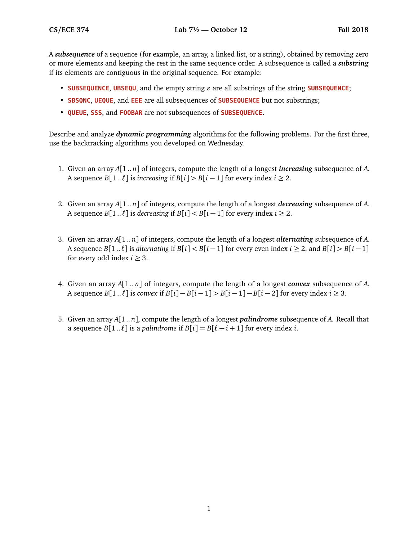A *subsequence* of a sequence (for example, an array, a linked list, or a string), obtained by removing zero or more elements and keeping the rest in the same sequence order. A subsequence is called a *substring* if its elements are contiguous in the original sequence. For example:

- **SUBSEQUENCE, UBSEQU,** and the empty string  $\varepsilon$  are all substrings of the string **SUBSEQUENCE**;
- **SBSQNC**, **UEQUE**, and **EEE** are all subsequences of **SUBSEQUENCE** but not substrings;
- **QUEUE**, **SSS**, and **FOOBAR** are not subsequences of **SUBSEQUENCE**.

Describe and analyze *dynamic programming* algorithms for the following problems. For the first three, use the backtracking algorithms you developed on Wednesday.

- 1. Given an array *A*[1 .. *n*] of integers, compute the length of a longest *increasing* subsequence of *A*. A sequence *B*[1.. $\ell$ ] is *increasing* if *B*[*i*] > *B*[*i* − 1] for every index *i* ≥ 2.
- 2. Given an array *A*[1 .. *n*] of integers, compute the length of a longest *decreasing* subsequence of *A*. A sequence *B*[1.. $\ell$ ] is *decreasing* if *B*[*i*] < *B*[*i* − 1] for every index *i* ≥ 2.
- 3. Given an array *A*[1 .. *n*] of integers, compute the length of a longest *alternating* subsequence of *A*. A sequence  $B[1..l]$  is *alternating* if  $B[i] < B[i-1]$  for every even index  $i \geq 2$ , and  $B[i] > B[i-1]$ for every odd index  $i \geq 3$ .
- 4. Given an array *A*[1.. *n*] of integers, compute the length of a longest *convex* subsequence of *A*. A sequence  $B[1..l]$  is *convex* if  $B[i] - B[i-1] > B[i-1] - B[i-2]$  for every index *i* ≥ 3.
- 5. Given an array *A*[1 .. *n*], compute the length of a longest *palindrome* subsequence of *A*. Recall that a sequence *B*[1.. $\ell$ ] is a *palindrome* if *B*[ $i$ ] = *B*[ $\ell - i + 1$ ] for every index *i*.